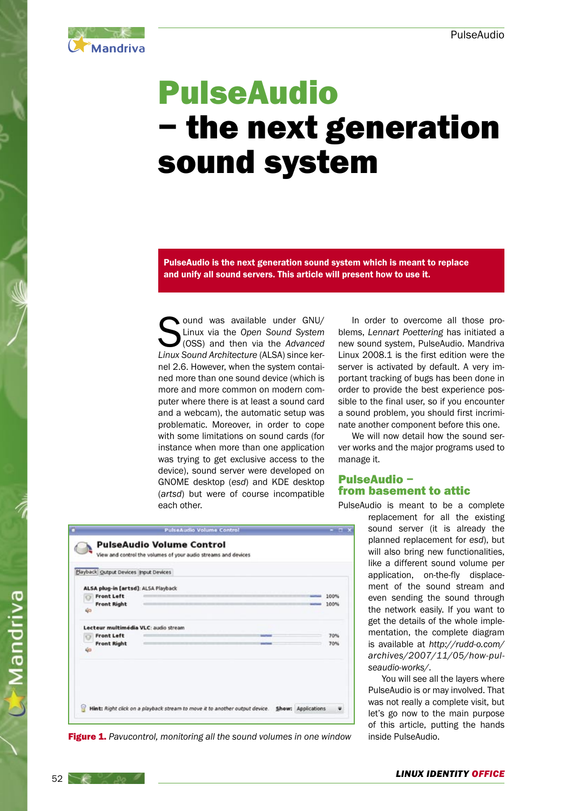

# PulseAudio − the next generation sound system

PulseAudio is the next generation sound system which is meant to replace and unify all sound servers. This article will present how to use it.

ound was available under GNU/ Linux via the Open Sound System (OSS) and then via the Advanced Linux Sound Architecture (ALSA) since kernel 2.6. However, when the system contained more than one sound device (which is more and more common on modern computer where there is at least a sound card and a webcam), the automatic setup was problematic. Moreover, in order to cope with some limitations on sound cards (for instance when more than one application was trying to get exclusive access to the device), sound server were developed on GNOME desktop (esd) and KDE desktop (artsd) but were of course incompatible each other.

In order to overcome all those problems, Lennart Poettering has initiated a new sound system, PulseAudio. Mandriva Linux 2008.1 is the first edition were the server is activated by default. A very important tracking of bugs has been done in order to provide the best experience possible to the final user, so if you encounter a sound problem, you should first incriminate another component before this one.

We will now detail how the sound server works and the major programs used to manage it.

# PulseAudio − from basement to attic

PulseAudio is meant to be a complete

replacement for all the existing sound server (it is already the planned replacement for esd), but will also bring new functionalities. like a different sound volume per application, on-the-fly displacement of the sound stream and even sending the sound through the network easily. If you want to get the details of the whole implementation, the complete diagram is available at http://rudd-o.com/ archives/2007/11/05/how-pulseaudio-works/.

You will see all the layers where PulseAudio is or may involved. That was not really a complete visit, but let's go now to the main purpose of this article, putting the hands inside PulseAudio.

|                                                                                       | PulseAudio Volume Control                                                                          |                    | $  \infty$   |
|---------------------------------------------------------------------------------------|----------------------------------------------------------------------------------------------------|--------------------|--------------|
|                                                                                       | <b>PulseAudio Volume Control</b><br>View and control the volumes of your audio streams and devices |                    |              |
| Playback Output Devices Input Devices                                                 |                                                                                                    |                    |              |
| ALSA plug-in [artsd]: ALSA Playback<br><b>Front Left</b><br><b>Front Right</b><br>40  |                                                                                                    |                    | 100%<br>100% |
| Lecteur multimédia VLC: audio stream<br><b>Front Left</b><br><b>Front Right</b><br>40 | <b><i><u>Adam Thomas</u></i></b>                                                                   |                    | 70%<br>70%   |
|                                                                                       | Hint: Right click on a playback stream to move it to another output device.                        | Show: Applications |              |

Figure 1. Pavucontrol, monitoring all the sound volumes in one window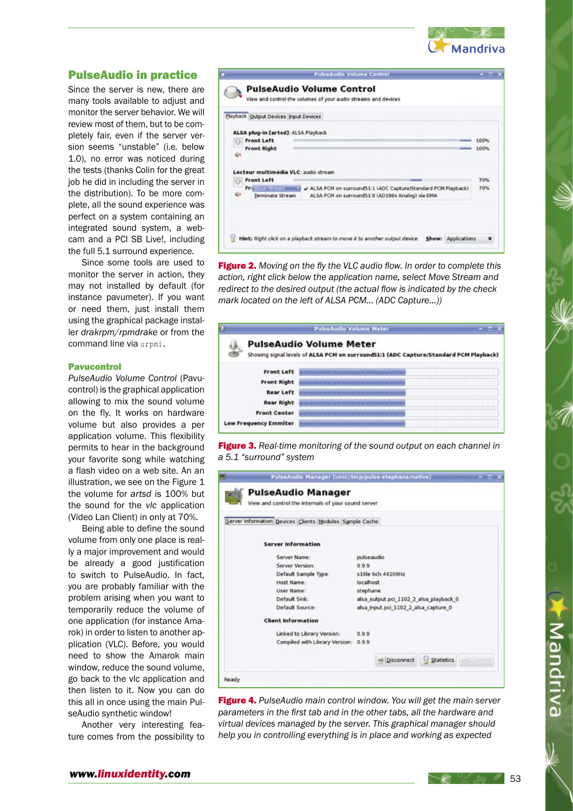

# PulseAudio in practice

Since the server is new, there are many tools available to adjust and monitor the server behavior. We will review most of them, but to be completely fair, even if the server version seems "unstable" (i.e. below 1.0), no error was noticed during the tests (thanks Colin for the great job he did in including the server in the distribution). To be more complete, all the sound experience was perfect on a system containing an integrated sound system, a webcam and a PCI SB Live!, including the full 5.1 surround experience.

Since some tools are used to monitor the server in action, they may not installed by default (for instance pavumeter). If you want or need them, just install them using the graphical package installer drakrpm/rpmdrake or from the command line via urpmi.

## Pavucontrol

PulseAudio Volume Control (Pavucontrol) is the graphical application allowing to mix the sound volume on the fly. It works on hardware volume but also provides a per application volume. This flexibility permits to hear in the background your favorite song while watching a flash video on a web site. An an illustration, we see on the Figure 1 the volume for artsd is 100% but the sound for the vlc application (Video Lan Client) in only at 70%.

Being able to define the sound volume from only one place is really a major improvement and would be already a good justification to switch to PulseAudio. In fact, you are probably familiar with the problem arising when you want to temporarily reduce the volume of one application (for instance Amarok) in order to listen to another application (VLC). Before, you would need to show the Amarok main window, reduce the sound volume, go back to the vlc application and then listen to it. Now you can do this all in once using the main PulseAudio synthetic window!

Another very interesting feature comes from the possibility to

|    | Playback Output Devices Input Devices                                                                                                                              |              |
|----|--------------------------------------------------------------------------------------------------------------------------------------------------------------------|--------------|
| ŃО | ALSA plug-in [artsd]: ALSA Playback<br><b>Front Left</b><br><b>Front Right</b>                                                                                     | 100%<br>100% |
|    | Lecteur multimédia VLC: audio stream<br><b>Front Left</b>                                                                                                          | 70%          |
| 40 | Freiburg Stream Mark & ALSA PCM on surround51:1 (ADC Capture/Standard PCM Playback)<br>ALSA PCM on surround51:0 (AD198x Analog) via DMA<br><b>Terminate Stream</b> | 70%          |

Figure 2. Moving on the fly the VLC audio flow. In order to complete this action, right click below the application name, select Move Stream and redirect to the desired output (the actual flow is indicated by the check mark located on the left of ALSA PCM... (ADC Capture...))

|                              | <b>PulseAudio Volume Meter</b>                                                                                          |
|------------------------------|-------------------------------------------------------------------------------------------------------------------------|
| x.                           | <b>PulseAudio Volume Meter</b><br>Showing signal levels of ALSA PCM on surround51:1 (ADC Capture/Standard PCM Playback) |
| <b>Front Left</b>            |                                                                                                                         |
| <b>Front Right</b>           |                                                                                                                         |
| <b>Rear Left</b>             |                                                                                                                         |
| <b>Rear Right</b>            |                                                                                                                         |
| <b>Front Center</b>          |                                                                                                                         |
| <b>Low Frequency Emmiter</b> |                                                                                                                         |

Figure 3. Real-time monitoring of the sound output on each channel in a 5.1 "surround" system

| PulseAudio Manager<br>View and control the internals of your sound server |            |                                      |                                        |                |
|---------------------------------------------------------------------------|------------|--------------------------------------|----------------------------------------|----------------|
| Server Information Devices Clients Modules Sample Cache                   |            |                                      |                                        |                |
| <b>Server Information</b>                                                 |            |                                      |                                        |                |
| Server Name:                                                              | pulseaudio |                                      |                                        |                |
| Server Version:                                                           | 0.99       |                                      |                                        |                |
| Default Sample Type:                                                      |            | s16le 6ch 44100Hz                    |                                        |                |
| Host Name:                                                                | localhost  |                                      |                                        |                |
| User Name:                                                                | stephane   |                                      |                                        |                |
| Default Sink:                                                             |            |                                      | alsa output pci 1102 2 alsa playback 0 |                |
| Default Source:                                                           |            | alsa input pci 1102 2 alsa capture 0 |                                        |                |
| <b>Client Information</b>                                                 |            |                                      |                                        |                |
| Linked to Library Version:                                                | 0.9.9      |                                      |                                        |                |
| Compiled with Library Version: 0.9.9                                      |            |                                      |                                        |                |
|                                                                           |            | <b>R</b> Disconnect                  | Statistics                             | <b>Lionari</b> |

Figure 4. PulseAudio main control window. You will get the main server parameters in the first tab and in the other tabs, all the hardware and virtual devices managed by the server. This graphical manager should help you in controlling everything is in place and working as expected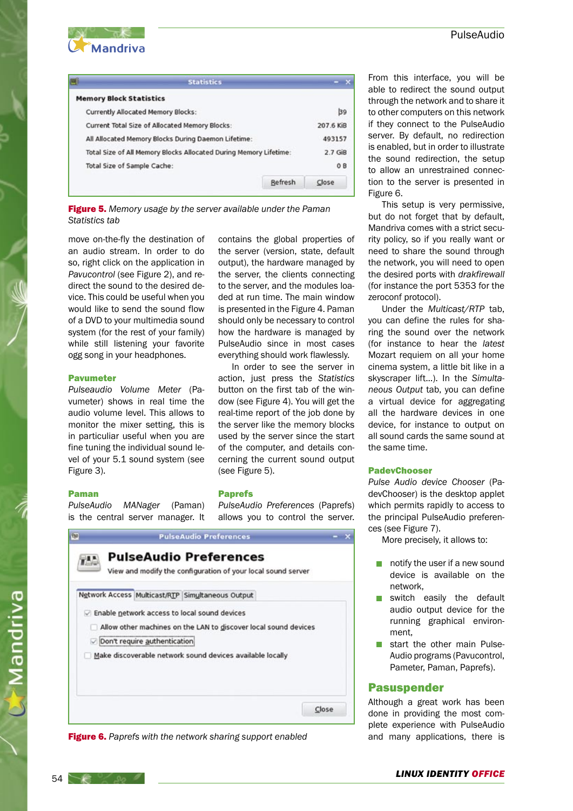

| <b>Statistics</b>                              |         |                                                                                                                          |
|------------------------------------------------|---------|--------------------------------------------------------------------------------------------------------------------------|
| <b>Memory Block Statistics</b>                 |         |                                                                                                                          |
| <b>Currently Allocated Memory Blocks:</b>      |         | 39                                                                                                                       |
| Current Total Size of Allocated Memory Blocks: |         | 207.6 KiB                                                                                                                |
|                                                |         | 493157                                                                                                                   |
|                                                |         | $2.7$ GiB                                                                                                                |
| Total Size of Sample Cache:                    |         | 0B                                                                                                                       |
|                                                | Refresh | Close                                                                                                                    |
|                                                |         | All Allocated Memory Blocks During Daemon Lifetime:<br>Total Size of All Memory Blocks Allocated During Memory Lifetime: |

**Figure 5.** Memory usage by the server available under the Paman Statistics tab

move on-the-fly the destination of an audio stream. In order to do so, right click on the application in Pavucontrol (see Figure 2), and redirect the sound to the desired device. This could be useful when you would like to send the sound flow of a DVD to your multimedia sound system (for the rest of your family) while still listening your favorite ogg song in your headphones.

#### Pavumeter

Pulseaudio Volume Meter (Pavumeter) shows in real time the audio volume level. This allows to monitor the mixer setting, this is in particuliar useful when you are fine tuning the individual sound level of your 5.1 sound system (see Figure 3).

#### Paman

PulseAudio MANager (Paman) is the central server manager. It contains the global properties of the server (version, state, default output), the hardware managed by the server, the clients connecting to the server, and the modules loaded at run time. The main window is presented in the Figure 4. Paman should only be necessary to control how the hardware is managed by PulseAudio since in most cases everything should work flawlessly.

In order to see the server in action, just press the Statistics button on the first tab of the window (see Figure 4). You will get the real-time report of the job done by the server like the memory blocks used by the server since the start of the computer, and details concerning the current sound output (see Figure 5).

#### Paprefs

PulseAudio Preferences (Paprefs) allows you to control the server.





From this interface, you will be able to redirect the sound output through the network and to share it to other computers on this network if they connect to the PulseAudio server. By default, no redirection is enabled, but in order to illustrate the sound redirection, the setup to allow an unrestrained connection to the server is presented in Figure 6.

This setup is very permissive, but do not forget that by default, Mandriva comes with a strict security policy, so if you really want or need to share the sound through the network, you will need to open the desired ports with drakfirewall (for instance the port 5353 for the zeroconf protocol).

Under the Multicast/RTP tab, you can define the rules for sharing the sound over the network (for instance to hear the latest Mozart requiem on all your home cinema system, a little bit like in a skyscraper lift...). In the Simultaneous Output tab, you can define a virtual device for aggregating all the hardware devices in one device, for instance to output on all sound cards the same sound at the same time.

### **PadevChooser**

Pulse Audio device Chooser (PadevChooser) is the desktop applet which permits rapidly to access to the principal PulseAudio preferences (see Figure 7).

More precisely, it allows to:

- $\blacksquare$  notify the user if a new sound device is available on the network,
- switch easily the default audio output device for the running graphical environment,
- start the other main Pulse-Audio programs (Pavucontrol, Pameter, Paman, Paprefs).

#### Pasuspender

Although a great work has been done in providing the most complete experience with PulseAudio and many applications, there is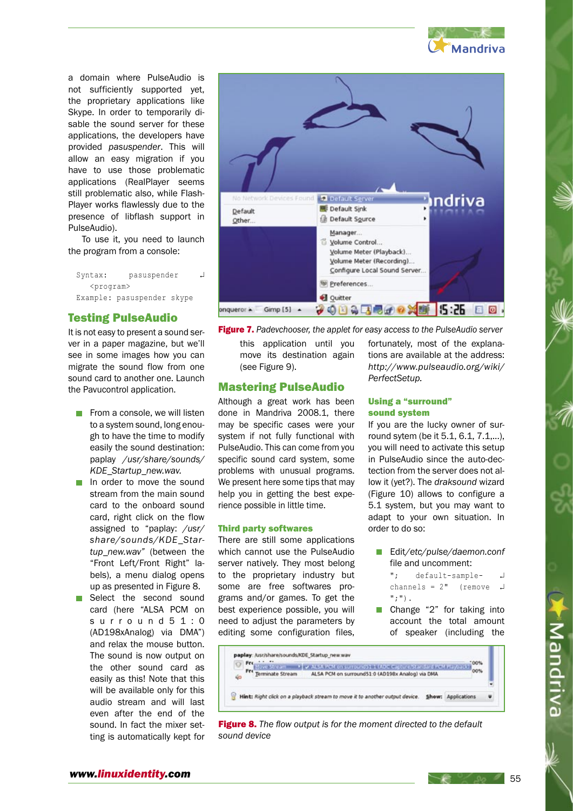

a domain where PulseAudio is not sufficiently supported yet, the proprietary applications like Skype. In order to temporarily disable the sound server for these applications, the developers have provided pasuspender. This will allow an easy migration if you have to use those problematic applications (RealPlayer seems still problematic also, while Flash-Player works flawlessly due to the presence of libflash support in PulseAudio).

To use it, you need to launch the program from a console:

Syntax: pasuspender 니 <program> Example: pasuspender skype

# Testing PulseAudio

It is not easy to present a sound server in a paper magazine, but we'll see in some images how you can migrate the sound flow from one sound card to another one. Launch the Pavucontrol application.

- $\blacksquare$  From a console, we will listen to a system sound, long enough to have the time to modify easily the sound destination: paplay /usr/share/sounds/ KDF\_Startup\_new.wav.
- In order to move the sound stream from the main sound card to the onboard sound card, right click on the flow assigned to "paplay: /usr/ share/sounds/KDE\_Startup\_new.wav" (between the "Front Left/Front Right" labels), a menu dialog opens up as presented in Figure 8.
- Select the second sound card (here "ALSA PCM on s u r r o u n d 5 1 : 0 (AD198xAnalog) via DMA") and relax the mouse button. The sound is now output on the other sound card as easily as this! Note that this will be available only for this audio stream and will last even after the end of the sound. In fact the mixer setting is automatically kept for



**Figure 7.** Padevchooser, the applet for easy access to the PulseAudio server

this application until you move its destination again (see Figure 9).

# Mastering PulseAudio

Although a great work has been done in Mandriva 2008.1, there may be specific cases were your system if not fully functional with PulseAudio. This can come from you specific sound card system, some problems with unusual programs. We present here some tips that may help you in getting the best experience possible in little time.

## Third party softwares

There are still some applications which cannot use the PulseAudio server natively. They most belong to the proprietary industry but some are free softwares programs and/or games. To get the best experience possible, you will need to adjust the parameters by editing some configuration files,

fortunately, most of the explanations are available at the address: http://www.pulseaudio.org/wiki/ PerfectSetup.

## Using a "surround" sound system

If you are the lucky owner of surround sytem (be it 5.1, 6.1, 7.1,...), you will need to activate this setup in PulseAudio since the auto-dectection from the server does not allow it (yet?). The draksound wizard (Figure 10) allows to configure a 5.1 system, but you may want to adapt to your own situation. In order to do so:

- Edit/etc/pulse/daemon.conf file and uncomment:
	- "; default-sample- ↵ channels =  $2"$  (remove  $\Box$ ";").
- Change "2" for taking into account the total amount of speaker (including the



Mandriva